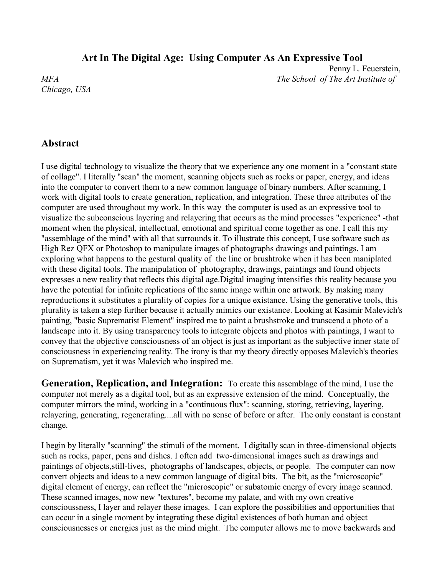## **Art In The Digital Age: Using Computer As An Expressive Tool**

*Chicago, USA*

 Penny L. Feuerstein, *MFA The School of The Art Institute of*

## **Abstract**

I use digital technology to visualize the theory that we experience any one moment in a "constant state of collage". I literally "scan" the moment, scanning objects such as rocks or paper, energy, and ideas into the computer to convert them to a new common language of binary numbers. After scanning, I work with digital tools to create generation, replication, and integration. These three attributes of the computer are used throughout my work. In this way the computer is used as an expressive tool to visualize the subconscious layering and relayering that occurs as the mind processes "experience" -that moment when the physical, intellectual, emotional and spiritual come together as one. I call this my "assemblage of the mind" with all that surrounds it. To illustrate this concept, I use software such as High Rez QFX or Photoshop to manipulate images of photographs drawings and paintings. I am exploring what happens to the gestural quality of the line or brushtroke when it has been maniplated with these digital tools. The manipulation of photography, drawings, paintings and found objects expresses a new reality that reflects this digital age.Digital imaging intensifies this reality because you have the potential for infinite replications of the same image within one artwork. By making many reproductions it substitutes a plurality of copies for a unique existance. Using the generative tools, this plurality is taken a step further because it actually mimics our existance. Looking at Kasimir Malevich's painting, "basic Suprematist Element" inspired me to paint a brushstroke and transcend a photo of a landscape into it. By using transparency tools to integrate objects and photos with paintings, I want to convey that the objective consciousness of an object is just as important as the subjective inner state of consciousness in experiencing reality. The irony is that my theory directly opposes Malevich's theories on Suprematism, yet it was Malevich who inspired me.

**Generation, Replication, and Integration:** To create this assemblage of the mind, I use the computer not merely as a digital tool, but as an expressive extension of the mind. Conceptually, the computer mirrors the mind, working in a "continuous flux": scanning, storing, retrieving, layering, relayering, generating, regenerating....all with no sense of before or after. The only constant is constant change.

I begin by literally "scanning" the stimuli of the moment. I digitally scan in three-dimensional objects such as rocks, paper, pens and dishes. I often add two-dimensional images such as drawings and paintings of objects,still-lives, photographs of landscapes, objects, or people. The computer can now convert objects and ideas to a new common language of digital bits. The bit, as the "microscopic" digital element of energy, can reflect the "microscopic" or subatomic energy of every image scanned. These scanned images, now new "textures", become my palate, and with my own creative conscioussness, I layer and relayer these images. I can explore the possibilities and opportunities that can occur in a single moment by integrating these digital existences of both human and object consciousnesses or energies just as the mind might. The computer allows me to move backwards and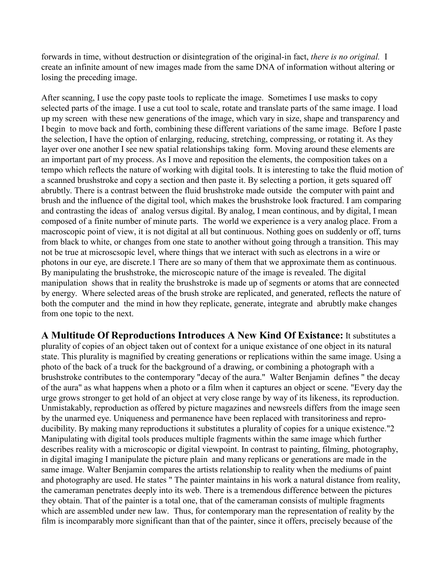forwards in time, without destruction or disintegration of the original-in fact, *there is no original.* I create an infinite amount of new images made from the same DNA of information without altering or losing the preceding image.

After scanning, I use the copy paste tools to replicate the image. Sometimes I use masks to copy selected parts of the image. I use a cut tool to scale, rotate and translate parts of the same image. I load up my screen with these new generations of the image, which vary in size, shape and transparency and I begin to move back and forth, combining these different variations of the same image. Before I paste the selection, I have the option of enlarging, reducing, stretching, compressing, or rotating it. As they layer over one another I see new spatial relationships taking form. Moving around these elements are an important part of my process. As I move and reposition the elements, the composition takes on a tempo which reflects the nature of working with digital tools. It is interesting to take the fluid motion of a scanned brushstroke and copy a section and then paste it. By selecting a portion, it gets squared off abrubtly. There is a contrast between the fluid brushstroke made outside the computer with paint and brush and the influence of the digital tool, which makes the brushstroke look fractured. I am comparing and contrasting the ideas of analog versus digital. By analog, I mean continous, and by digital, I mean composed of a finite number of minute parts. The world we experience is a very analog place. From a macroscopic point of view, it is not digital at all but continuous. Nothing goes on suddenly or off, turns from black to white, or changes from one state to another without going through a transition. This may not be true at microscsopic level, where things that we interact with such as electrons in a wire or photons in our eye, are discrete.1 There are so many of them that we approximate them as continuous. By manipulating the brushstroke, the microscopic nature of the image is revealed. The digital manipulation shows that in reality the brushstroke is made up of segments or atoms that are connected by energy. Where selected areas of the brush stroke are replicated, and generated, reflects the nature of both the computer and the mind in how they replicate, generate, integrate and abrubtly make changes from one topic to the next.

**A Multitude Of Reproductions Introduces A New Kind Of Existance:** It substitutes a plurality of copies of an object taken out of context for a unique existance of one object in its natural state. This plurality is magnified by creating generations or replications within the same image. Using a photo of the back of a truck for the background of a drawing, or combining a photograph with a brushstroke contributes to the contemporary "decay of the aura." Walter Benjamin defines " the decay of the aura" as what happens when a photo or a film when it captures an object or scene. "Every day the urge grows stronger to get hold of an object at very close range by way of its likeness, its reproduction. Unmistakably, reproduction as offered by picture magazines and newsreels differs from the image seen by the unarmed eye. Uniqueness and permanence have been replaced with transitoriness and reproducibility. By making many reproductions it substitutes a plurality of copies for a unique existence."2 Manipulating with digital tools produces multiple fragments within the same image which further describes reality with a microscopic or digital viewpoint. In contrast to painting, filming, photography, in digital imaging I manipulate the picture plain and many replicans or generations are made in the same image. Walter Benjamin compares the artists relationship to reality when the mediums of paint and photography are used. He states " The painter maintains in his work a natural distance from reality, the cameraman penetrates deeply into its web. There is a tremendous difference between the pictures they obtain. That of the painter is a total one, that of the cameraman consists of multiple fragments which are assembled under new law. Thus, for contemporary man the representation of reality by the film is incomparably more significant than that of the painter, since it offers, precisely because of the